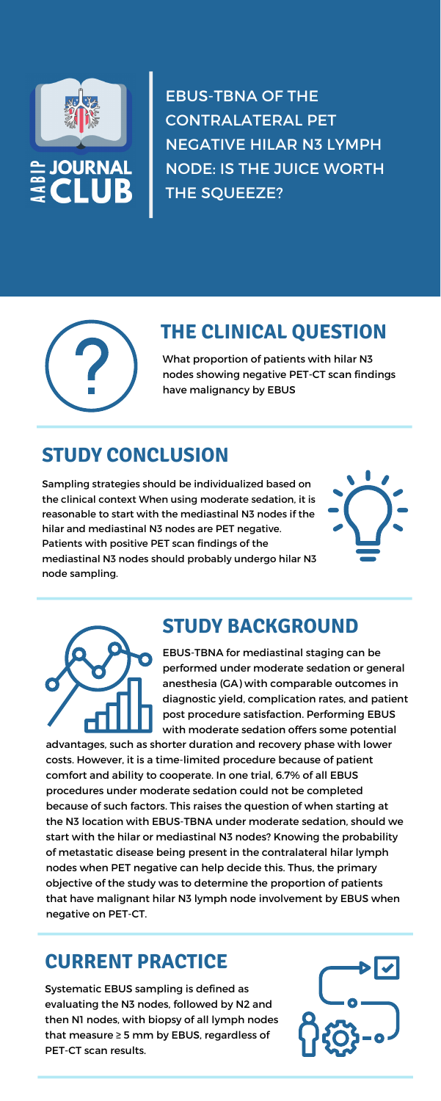



EBUS-TBNA OF THE CONTRALATERAL PET NEGATIVE HILAR N3 LYMPH NODE: IS THE JUICE WORTH THE SQUEEZE?



## **THE CLINICAL QUESTION**

What proportion of patients with hilar N3 nodes showing negative PET-CT scan findings have malignancy by EBUS

# **STUDY CONCLUSION**

Sampling strategies should be individualized based on the clinical context When using moderate sedation, it is reasonable to start with the mediastinal N3 nodes if the hilar and mediastinal N3 nodes are PET negative. Patients with positive PET scan findings of the mediastinal N3 nodes should probably undergo hilar N3 node sampling.





# **STUDY BACKGROUND**

EBUS-TBNA for mediastinal staging can be performed under moderate sedation or general anesthesia (GA) with comparable outcomes in diagnostic yield, complication rates, and patient post procedure satisfaction. Performing EBUS with moderate sedation offers some potential

advantages, such as shorter duration and recovery phase with lower costs. However, it is a time-limited procedure because of patient comfort and ability to cooperate. In one trial, 6.7% of all EBUS procedures under moderate sedation could not be completed because of such factors. This raises the question of when starting at the N3 location with EBUS-TBNA under moderate sedation, should we start with the hilar or mediastinal N3 nodes? Knowing the probability of metastatic disease being present in the contralateral hilar lymph nodes when PET negative can help decide this. Thus, the primary objective of the study was to determine the proportion of patients that have malignant hilar N3 lymph node involvement by EBUS when negative on PET-CT.

## **CURRENT PRACTICE**

Systematic EBUS sampling is defined as evaluating the N3 nodes, followed by N2 and then N1 nodes, with biopsy of all lymph nodes that measure ≥ 5 mm by EBUS, regardless of PET-CT scan results.

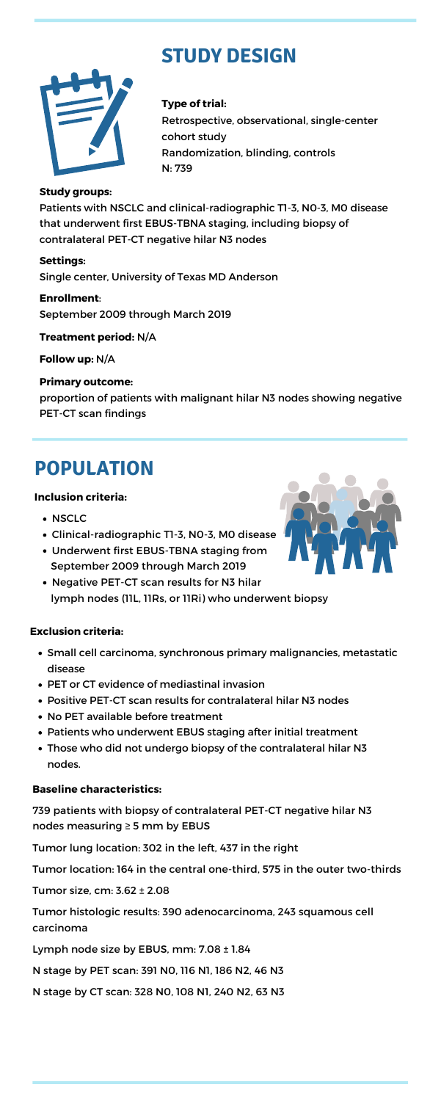

# **STUDY DESIGN**

#### **Type of trial:**

Retrospective, observational, single-center cohort study Randomization, blinding, controls N: 739

#### **Study groups:**

Patients with NSCLC and clinical-radiographic T1-3, N0-3, M0 disease that underwent first EBUS-TBNA staging, including biopsy of contralateral PET-CT negative hilar N3 nodes

#### **Settings:**

Single center, University of Texas MD Anderson

**Enrollment**: September 2009 through March 2019

- NSCLC
- Clinical-radiographic T1-3, N0-3, M0 disease
- Underwent first EBUS-TBNA staging from September 2009 through March 2019
- Negative PET-CT scan results for N3 hilar lymph nodes (11L, 11Rs, or 11Ri) who underwent biopsy

**Treatment period:** N/A

**Follow up:** N/A

#### **Primary outcome:**

proportion of patients with malignant hilar N3 nodes showing negative PET-CT scan findings

#### **Inclusion criteria:**

# **POPULATION**

#### **Baseline characteristics:**

739 patients with biopsy of contralateral PET-CT negative hilar N3 nodes measuring ≥ 5 mm by EBUS

Tumor lung location: 302 in the left, 437 in the right

Tumor location: 164 in the central one-third, 575 in the outer two-thirds

Tumor size, cm: 3.62 ± 2.08

Tumor histologic results: 390 adenocarcinoma, 243 squamous cell carcinoma

Lymph node size by EBUS, mm: 7.08 ± 1.84

N stage by PET scan: 391 N0, 116 N1, 186 N2, 46 N3

N stage by CT scan: 328 N0, 108 N1, 240 N2, 63 N3

Small cell carcinoma, synchronous primary malignancies, metastatic



disease

- PET or CT evidence of mediastinal invasion
- Positive PET-CT scan results for contralateral hilar N3 nodes
- No PET available before treatment
- Patients who underwent EBUS staging after initial treatment
- Those who did not undergo biopsy of the contralateral hilar N3 nodes.

#### **Exclusion criteria:**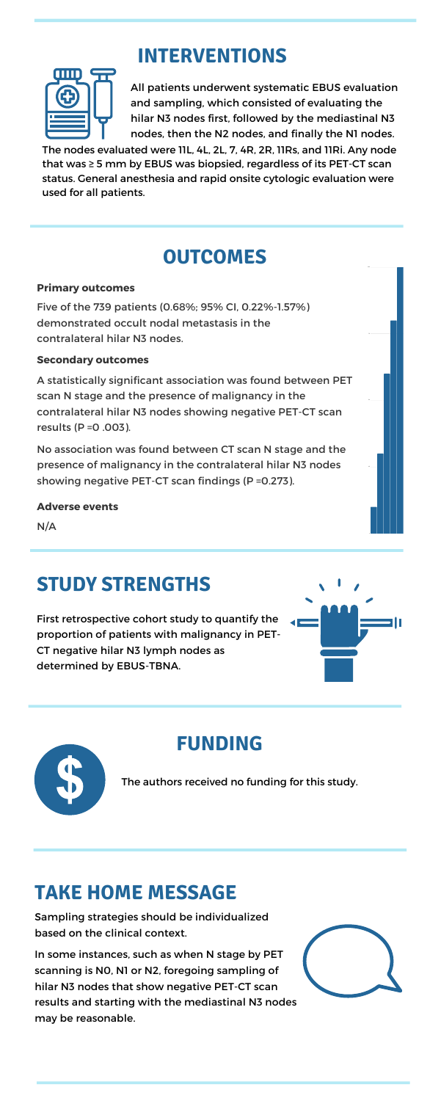All patients underwent systematic EBUS evaluation and sampling, which consisted of evaluating the hilar N3 nodes first, followed by the mediastinal N3 nodes, then the N2 nodes, and finally the N1 nodes.

## **STUDY STRENGTHS**

First retrospective cohort study to quantify the proportion of patients with malignancy in PET-CT negative hilar N3 lymph nodes as



determined by EBUS-TBNA.



#### **Primary outcomes**

Five of the 739 patients (0.68%; 95% CI, 0.22%-1.57%) demonstrated occult nodal metastasis in the contralateral hilar N3 nodes.

#### **Secondary outcomes**

A statistically significant association was found between PET scan N stage and the presence of malignancy in the contralateral hilar N3 nodes showing negative PET-CT scan results (P =0 .003).

No association was found between CT scan N stage and the presence of malignancy in the contralateral hilar N3 nodes showing negative PET-CT scan findings (P =0.273).

#### **Adverse events**

N/A

100

0

## **INTERVENTIONS**



## **FUNDING**

The authors received no funding for this study.

The nodes evaluated were 11L, 4L, 2L, 7, 4R, 2R, 11Rs, and 11Ri. Any node that was ≥ 5 mm by EBUS was biopsied, regardless of its PET-CT scan status. General anesthesia and rapid onsite cytologic evaluation were used for all patients.

## **OUTCOMES**

## **TAKE HOME MESSAGE**

Sampling strategies should be individualized based on the clinical context.

In some instances, such as when N stage by PET scanning is N0, N1 or N2, foregoing sampling of hilar N3 nodes that show negative PET-CT scan results and starting with the mediastinal N3 nodes may be reasonable.

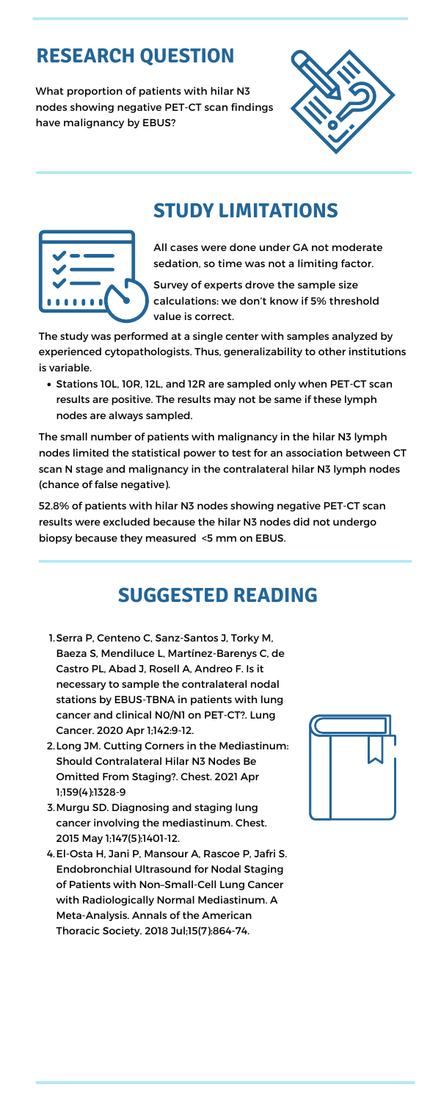All cases were done under GA not moderate sedation, so time was not a limiting factor.

Survey of experts drove the sample size calculations: we don't know if 5% threshold value is correct.

What proportion of patients with hilar N3 nodes showing negative PET-CT scan findings have malignancy by EBUS?





• Stations 10L, 10R, 12L, and 12R are sampled only when PET-CT scan results are positive. The results may not be same if these lymph nodes are always sampled.

# **RESEARCH QUESTION**

#### **STUDY LIMITATIONS**

The study was performed at a single center with samples analyzed by experienced cytopathologists. Thus, generalizability to other institutions is variable.

1. Serra P, Centeno C, Sanz-Santos J, Torky M, Baeza S, Mendiluce L, Martínez-Barenys C, de

The small number of patients with malignancy in the hilar N3 lymph nodes limited the statistical power to test for an association between CT scan N stage and malignancy in the contralateral hilar N3 lymph nodes (chance of false negative).

- 2. Long JM. Cutting Corners in the Mediastinum: Should Contralateral Hilar N3 Nodes Be Omitted From Staging?. Chest. 2021 Apr 1;159(4):1328-9
- Murgu SD. Diagnosing and staging lung 3. cancer involving the mediastinum. Chest. 2015 May 1;147(5):1401-12.
- El-Osta H, Jani P, Mansour A, Rascoe P, Jafri S. 4.Endobronchial Ultrasound for Nodal Staging of Patients with Non–Small-Cell Lung Cancer with Radiologically Normal Mediastinum. A Meta-Analysis. Annals of the American Thoracic Society. 2018 Jul;15(7):864-74.



52.8% of patients with hilar N3 nodes showing negative PET-CT scan results were excluded because the hilar N3 nodes did not undergo biopsy because they measured <5 mm on EBUS.

## **SUGGESTED READING**

Castro PL, Abad J, Rosell A, Andreo F. Is it necessary to sample the contralateral nodal stations by EBUS-TBNA in patients with lung cancer and clinical N0/N1 on PET-CT?. Lung Cancer. 2020 Apr 1;142:9-12.